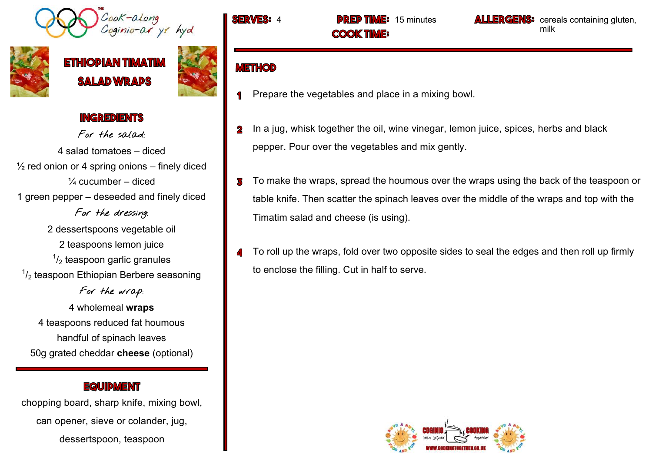.<br>Coginio-ar yr hyd



# **ETHIODIAN TIMAT SALAD WRADS**



#### **INGREDIENTS**

For the salad: 4 salad tomatoes – diced  $\frac{1}{2}$  red onion or 4 spring onions – finely diced  $\frac{1}{4}$  cucumber – diced 1 green pepper – deseeded and finely diced For the dressing: 2 dessertspoons vegetable oil 2 teaspoons lemon juice  $1/2$  teaspoon garlic granules  $\frac{1}{2}$  teaspoon Ethiopian Berbere seasoning For the wrap:

4 wholemeal **wraps**  4 teaspoons reduced fat houmous handful of spinach leaves 50g grated cheddar **cheese** (optional)

#### **EQUIDMENT**

chopping board, sharp knife, mixing bowl, can opener, sieve or colander, jug, dessertspoon, teaspoon

**COOK TIME:** 

**SERVES:** 4 **DREP TIME:** 15 minutes **ALLERGENS:** cereals containing gluten, milk

### **METHOD**

- Prepare the vegetables and place in a mixing bowl.
- In a jug, whisk together the oil, wine vinegar, lemon juice, spices, herbs and black  $\mathbf 2$ pepper. Pour over the vegetables and mix gently.
- To make the wraps, spread the houmous over the wraps using the back of the teaspoon or 3 table knife. Then scatter the spinach leaves over the middle of the wraps and top with the Timatim salad and cheese (is using).
- To roll up the wraps, fold over two opposite sides to seal the edges and then roll up firmly  $\mathbf{A}$ to enclose the filling. Cut in half to serve.